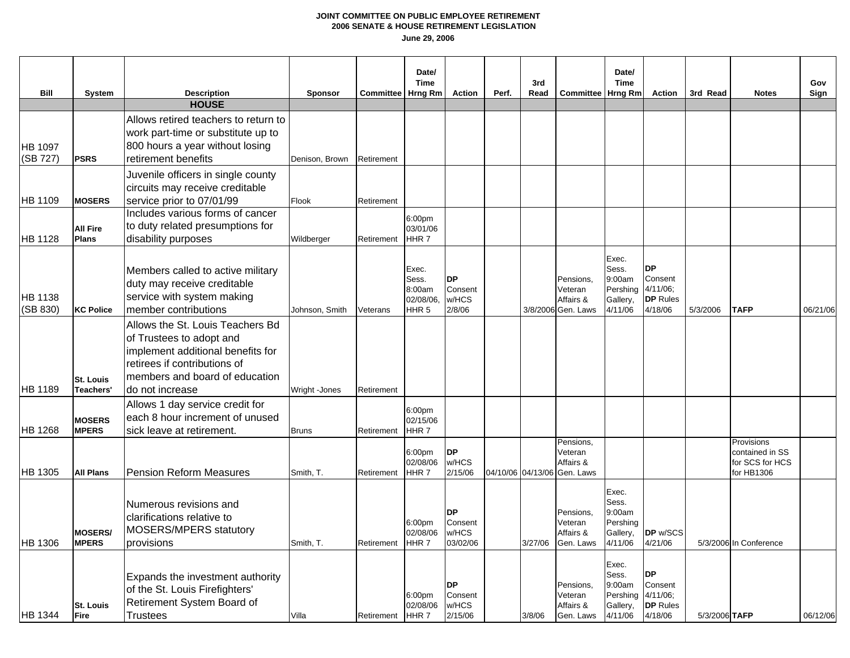| Bill                       | <b>System</b>                  | <b>Description</b>                                                                                                                                                                     | <b>Sponsor</b> | <b>Committee</b> | Date/<br><b>Time</b><br>Hrng Rm                          | <b>Action</b>                             | Perf. | 3rd<br>Read | <b>Committee</b>                                                 | Date/<br><b>Time</b><br>Hrng Rm                             | <b>Action</b>                                                     | 3rd Read      | <b>Notes</b>                                                   | Gov<br>Sign |
|----------------------------|--------------------------------|----------------------------------------------------------------------------------------------------------------------------------------------------------------------------------------|----------------|------------------|----------------------------------------------------------|-------------------------------------------|-------|-------------|------------------------------------------------------------------|-------------------------------------------------------------|-------------------------------------------------------------------|---------------|----------------------------------------------------------------|-------------|
|                            |                                | <b>HOUSE</b>                                                                                                                                                                           |                |                  |                                                          |                                           |       |             |                                                                  |                                                             |                                                                   |               |                                                                |             |
| <b>HB 1097</b><br>(SB 727) | <b>PSRS</b>                    | Allows retired teachers to return to<br>work part-time or substitute up to<br>800 hours a year without losing<br>retirement benefits                                                   | Denison, Brown | Retirement       |                                                          |                                           |       |             |                                                                  |                                                             |                                                                   |               |                                                                |             |
| <b>HB 1109</b>             | <b>MOSERS</b>                  | Juvenile officers in single county<br>circuits may receive creditable<br>service prior to 07/01/99                                                                                     | Flook          | Retirement       |                                                          |                                           |       |             |                                                                  |                                                             |                                                                   |               |                                                                |             |
| <b>HB 1128</b>             | All Fire<br>Plans              | Includes various forms of cancer<br>to duty related presumptions for<br>disability purposes                                                                                            | Wildberger     | Retirement       | 6:00pm<br>03/01/06<br>HHR7                               |                                           |       |             |                                                                  |                                                             |                                                                   |               |                                                                |             |
| HB 1138<br>(SB 830)        | <b>KC Police</b>               | Members called to active military<br>duty may receive creditable<br>service with system making<br>member contributions                                                                 | Johnson, Smith | Veterans         | Exec.<br>Sess.<br>8:00am<br>02/08/06<br>HHR <sub>5</sub> | <b>DP</b><br>Consent<br>w/HCS<br>2/8/06   |       |             | Pensions,<br>Veteran<br>Affairs &<br>3/8/2006 Gen. Laws          | Exec.<br>Sess.<br>9:00am<br>Pershing<br>Gallery,<br>4/11/06 | <b>DP</b><br>Consent<br>$4/11/06$ ;<br><b>DP</b> Rules<br>4/18/06 | 5/3/2006      | <b>TAFP</b>                                                    | 06/21/06    |
| <b>HB 1189</b>             | <b>St. Louis</b><br>Teachers'  | Allows the St. Louis Teachers Bd<br>of Trustees to adopt and<br>implement additional benefits for<br>retirees if contributions of<br>members and board of education<br>do not increase | Wright -Jones  | Retirement       |                                                          |                                           |       |             |                                                                  |                                                             |                                                                   |               |                                                                |             |
| <b>HB 1268</b>             | <b>MOSERS</b><br><b>MPERS</b>  | Allows 1 day service credit for<br>each 8 hour increment of unused<br>sick leave at retirement.                                                                                        | <b>Bruns</b>   | Retirement       | 6:00pm<br>02/15/06<br>HHR <sub>7</sub>                   |                                           |       |             |                                                                  |                                                             |                                                                   |               |                                                                |             |
| <b>HB 1305</b>             | <b>All Plans</b>               | <b>Pension Reform Measures</b>                                                                                                                                                         | Smith, T.      | Retirement       | 6:00pm<br>02/08/06<br>HHR <sub>7</sub>                   | <b>DP</b><br>w/HCS<br>2/15/06             |       |             | Pensions,<br>Veteran<br>Affairs &<br>04/10/06 04/13/06 Gen. Laws |                                                             |                                                                   |               | Provisions<br>contained in SS<br>for SCS for HCS<br>for HB1306 |             |
| HB 1306                    | <b>MOSERS/</b><br><b>MPERS</b> | Numerous revisions and<br>clarifications relative to<br>MOSERS/MPERS statutory<br>provisions                                                                                           | Smith, T.      | Retirement       | 6:00 <sub>pm</sub><br>02/08/06<br>HHR7                   | <b>DP</b><br>Consent<br>w/HCS<br>03/02/06 |       | 3/27/06     | Pensions,<br>Veteran<br>Affairs &<br>Gen. Laws                   | Exec.<br>Sess.<br>9:00am<br>Pershing<br>Gallery,<br>4/11/06 | DP w/SCS<br>4/21/06                                               |               | 5/3/2006 In Conference                                         |             |
| <b>HB 1344</b>             | <b>St. Louis</b><br>Fire       | Expands the investment authority<br>of the St. Louis Firefighters'<br>Retirement System Board of<br>Trustees                                                                           | Villa          | Retirement       | 6:00 <sub>pm</sub><br>02/08/06<br>HHR <sub>7</sub>       | <b>DP</b><br>Consent<br>w/HCS<br>2/15/06  |       | 3/8/06      | Pensions,<br>Veteran<br>Affairs &<br>Gen. Laws                   | Exec.<br>Sess.<br>9:00am<br>Pershing<br>Gallery,<br>4/11/06 | <b>DP</b><br>Consent<br>4/11/06;<br><b>DP</b> Rules<br>4/18/06    | 5/3/2006 TAFP |                                                                | 06/12/06    |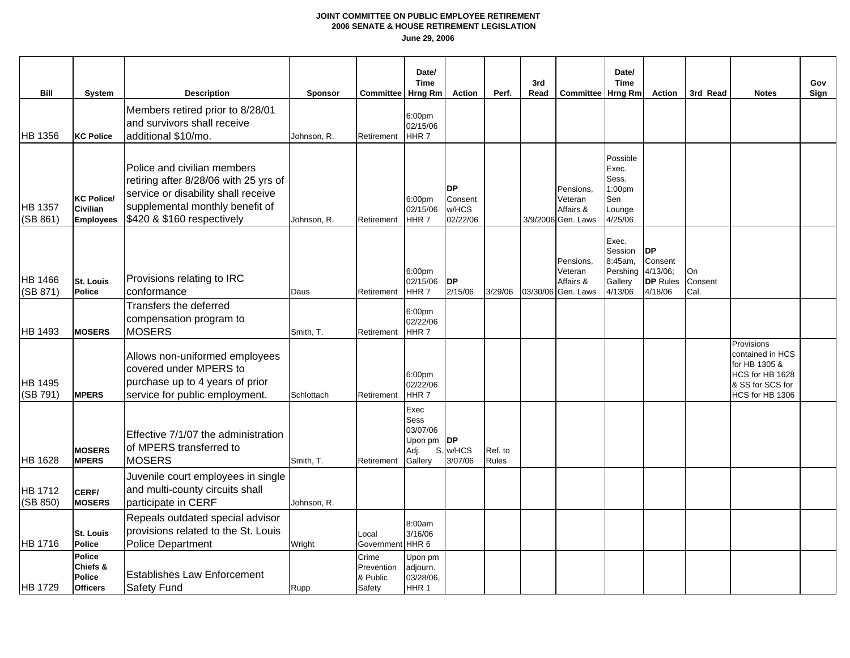| Bill                       | System                                                   | <b>Description</b>                                                                                                                                                           | <b>Sponsor</b> | <b>Committee</b>                          | Date/<br><b>Time</b><br>Hrng Rm                        | <b>Action</b>                             | Perf.            | 3rd<br>Read | <b>Committee   Hrng Rm</b>                              | Date/<br><b>Time</b>                                             | <b>Action</b>                                                  | 3rd Read              | <b>Notes</b>                                                                                              | Gov<br>Sign |
|----------------------------|----------------------------------------------------------|------------------------------------------------------------------------------------------------------------------------------------------------------------------------------|----------------|-------------------------------------------|--------------------------------------------------------|-------------------------------------------|------------------|-------------|---------------------------------------------------------|------------------------------------------------------------------|----------------------------------------------------------------|-----------------------|-----------------------------------------------------------------------------------------------------------|-------------|
| <b>HB</b> 1356             | <b>KC Police</b>                                         | Members retired prior to 8/28/01<br>and survivors shall receive<br>additional \$10/mo.                                                                                       | Johnson, R.    | Retirement                                | 6:00pm<br>02/15/06<br>HHR <sub>7</sub>                 |                                           |                  |             |                                                         |                                                                  |                                                                |                       |                                                                                                           |             |
| <b>HB 1357</b><br>(SB 861) | <b>KC Police/</b><br><b>Civilian</b><br><b>Employees</b> | Police and civilian members<br>retiring after 8/28/06 with 25 yrs of<br>service or disability shall receive<br>supplemental monthly benefit of<br>\$420 & \$160 respectively | Johnson, R.    | Retirement                                | 6:00 <sub>pm</sub><br>02/15/06<br>HHR <sub>7</sub>     | <b>DP</b><br>Consent<br>w/HCS<br>02/22/06 |                  |             | Pensions,<br>Veteran<br>Affairs &<br>3/9/2006 Gen. Laws | Possible<br>Exec.<br>Sess.<br>1:00pm<br>Sen<br>Lounge<br>4/25/06 |                                                                |                       |                                                                                                           |             |
| <b>HB</b> 1466<br>(SB 871) | <b>St. Louis</b><br>Police                               | Provisions relating to IRC<br>conformance                                                                                                                                    | Daus           | Retirement                                | 6:00pm<br>02/15/06<br>HHR <sub>7</sub>                 | <b>DP</b><br>2/15/06                      | 3/29/06          |             | Pensions,<br>Veteran<br>Affairs &<br>03/30/06 Gen. Laws | Exec.<br>Session<br>8:45am,<br>Pershing<br>Gallery<br>4/13/06    | <b>DP</b><br>Consent<br>4/13/06;<br><b>DP</b> Rules<br>4/18/06 | On<br>Consent<br>Cal. |                                                                                                           |             |
| HB 1493                    | <b>MOSERS</b>                                            | Transfers the deferred<br>compensation program to<br><b>MOSERS</b>                                                                                                           | Smith, T.      | Retirement                                | 6:00pm<br>02/22/06<br>HHR7                             |                                           |                  |             |                                                         |                                                                  |                                                                |                       |                                                                                                           |             |
| <b>HB 1495</b><br>(SB 791) | <b>MPERS</b>                                             | Allows non-uniformed employees<br>covered under MPERS to<br>purchase up to 4 years of prior<br>service for public employment.                                                | Schlottach     | Retirement                                | 6:00pm<br>02/22/06<br>HHR <sub>7</sub>                 |                                           |                  |             |                                                         |                                                                  |                                                                |                       | Provisions<br>contained in HCS<br>for HB 1305 &<br>HCS for HB 1628<br>& SS for SCS for<br>HCS for HB 1306 |             |
| <b>HB 1628</b>             | <b>MOSERS</b><br><b>MPERS</b>                            | Effective 7/1/07 the administration<br>of MPERS transferred to<br><b>MOSERS</b>                                                                                              | Smith, T.      | Retirement                                | Exec<br>Sess<br>03/07/06<br>Upon pm<br>Adj.<br>Gallery | <b>DP</b><br>S. w/HCS<br>3/07/06          | Ref. to<br>Rules |             |                                                         |                                                                  |                                                                |                       |                                                                                                           |             |
| <b>HB</b> 1712<br>(SB 850) | CERF/<br><b>MOSERS</b>                                   | Juvenile court employees in single<br>and multi-county circuits shall<br>participate in CERF                                                                                 | Johnson, R.    |                                           |                                                        |                                           |                  |             |                                                         |                                                                  |                                                                |                       |                                                                                                           |             |
| HB 1716                    | <b>St. Louis</b><br><b>Police</b>                        | Repeals outdated special advisor<br>provisions related to the St. Louis<br><b>Police Department</b>                                                                          | Wright         | Local<br>Government                       | 8:00am<br>3/16/06<br>HHR6                              |                                           |                  |             |                                                         |                                                                  |                                                                |                       |                                                                                                           |             |
| HB 1729                    | Police<br>Chiefs &<br><b>Police</b><br><b>Officers</b>   | <b>Establishes Law Enforcement</b><br>Safety Fund                                                                                                                            | Rupp           | Crime<br>Prevention<br>& Public<br>Safety | Upon pm<br>adjourn.<br>03/28/06,<br>HHR <sub>1</sub>   |                                           |                  |             |                                                         |                                                                  |                                                                |                       |                                                                                                           |             |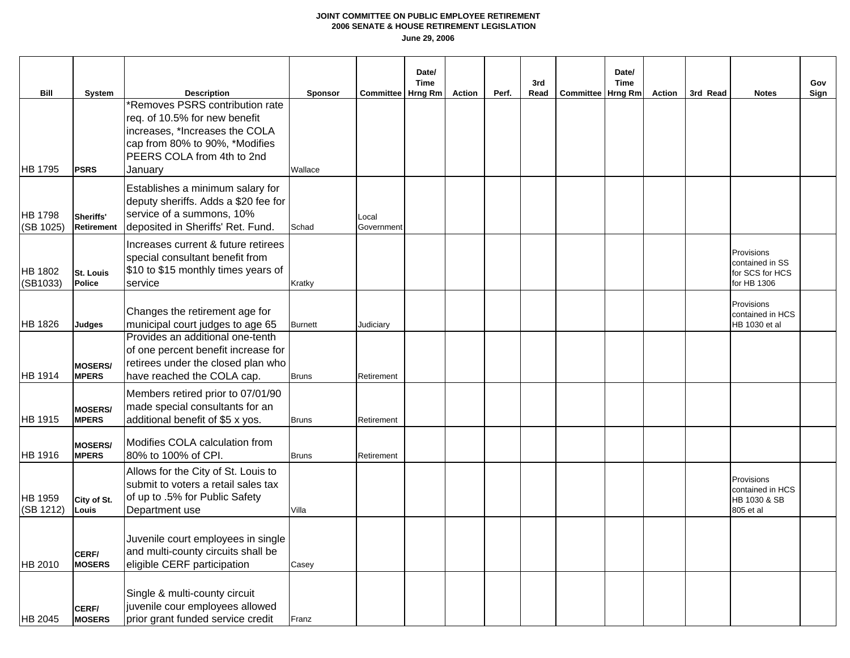|                               |                                   |                                                                                                                                                                                                     |                    |                     | Date/<br>Time |        |       | 3rd  |                          | Date/<br><b>Time</b> |        |          |                                                                 | Gov  |
|-------------------------------|-----------------------------------|-----------------------------------------------------------------------------------------------------------------------------------------------------------------------------------------------------|--------------------|---------------------|---------------|--------|-------|------|--------------------------|----------------------|--------|----------|-----------------------------------------------------------------|------|
| <b>Bill</b><br><b>HB 1795</b> | System<br><b>PSRS</b>             | <b>Description</b><br>*Removes PSRS contribution rate<br>req. of 10.5% for new benefit<br>increases, *Increases the COLA<br>cap from 80% to 90%, *Modifies<br>PEERS COLA from 4th to 2nd<br>January | Sponsor<br>Wallace | Committee   Hrng Rm |               | Action | Perf. | Read | <b>Committee Hrng Rm</b> |                      | Action | 3rd Read | <b>Notes</b>                                                    | Sign |
| <b>HB 1798</b><br>(SB 1025)   | Sheriffs'<br><b>Retirement</b>    | Establishes a minimum salary for<br>deputy sheriffs. Adds a \$20 fee for<br>service of a summons, 10%<br>deposited in Sheriffs' Ret. Fund.                                                          | Schad              | Local<br>Government |               |        |       |      |                          |                      |        |          |                                                                 |      |
| <b>HB 1802</b><br>(SB1033)    | <b>St. Louis</b><br><b>Police</b> | Increases current & future retirees<br>special consultant benefit from<br>\$10 to \$15 monthly times years of<br>service                                                                            | Kratky             |                     |               |        |       |      |                          |                      |        |          | Provisions<br>contained in SS<br>for SCS for HCS<br>for HB 1306 |      |
| HB 1826                       | <b>Judges</b>                     | Changes the retirement age for<br>municipal court judges to age 65                                                                                                                                  | <b>Burnett</b>     | Judiciary           |               |        |       |      |                          |                      |        |          | Provisions<br>contained in HCS<br>HB 1030 et al                 |      |
| HB 1914                       | <b>MOSERS/</b><br><b>MPERS</b>    | Provides an additional one-tenth<br>of one percent benefit increase for<br>retirees under the closed plan who<br>have reached the COLA cap.                                                         | <b>Bruns</b>       | Retirement          |               |        |       |      |                          |                      |        |          |                                                                 |      |
| HB 1915                       | <b>MOSERS/</b><br><b>MPERS</b>    | Members retired prior to 07/01/90<br>made special consultants for an<br>additional benefit of \$5 x yos.                                                                                            | <b>Bruns</b>       | Retirement          |               |        |       |      |                          |                      |        |          |                                                                 |      |
| <b>HB 1916</b>                | <b>MOSERS/</b><br><b>MPERS</b>    | Modifies COLA calculation from<br>80% to 100% of CPI.                                                                                                                                               | <b>Bruns</b>       | Retirement          |               |        |       |      |                          |                      |        |          |                                                                 |      |
| <b>HB 1959</b><br>(SB 1212)   | City of St.<br>Louis              | Allows for the City of St. Louis to<br>submit to voters a retail sales tax<br>of up to .5% for Public Safety<br>Department use                                                                      | Villa              |                     |               |        |       |      |                          |                      |        |          | Provisions<br>contained in HCS<br>HB 1030 & SB<br>805 et al     |      |
| HB 2010                       | CERF/<br><b>MOSERS</b>            | Juvenile court employees in single<br>and multi-county circuits shall be<br>eligible CERF participation                                                                                             | Casey              |                     |               |        |       |      |                          |                      |        |          |                                                                 |      |
| <b>HB 2045</b>                | CERF/<br><b>MOSERS</b>            | Single & multi-county circuit<br>juvenile cour employees allowed<br>prior grant funded service credit                                                                                               | Franz              |                     |               |        |       |      |                          |                      |        |          |                                                                 |      |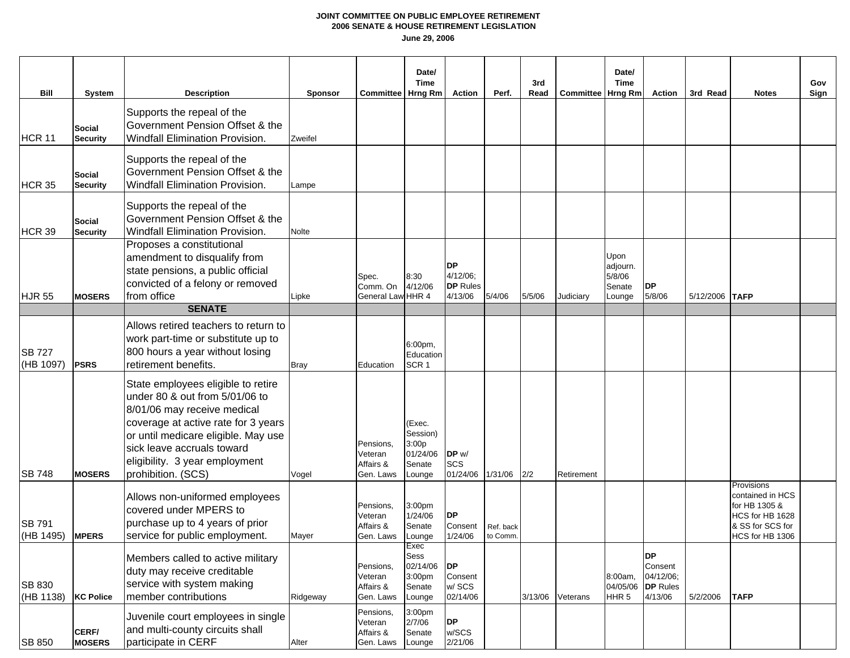|                                    |                                     |                                                                                                                                                                                                                                                                         |                           |                                                | Date/<br><b>Time</b>                                        |                                                        |                       | 3rd    |                     | Date/<br><b>Time</b>                           |                                                                 |                |                                                                                                           | Gov  |
|------------------------------------|-------------------------------------|-------------------------------------------------------------------------------------------------------------------------------------------------------------------------------------------------------------------------------------------------------------------------|---------------------------|------------------------------------------------|-------------------------------------------------------------|--------------------------------------------------------|-----------------------|--------|---------------------|------------------------------------------------|-----------------------------------------------------------------|----------------|-----------------------------------------------------------------------------------------------------------|------|
| Bill<br>HCR <sub>11</sub>          | System<br>Social<br><b>Security</b> | <b>Description</b><br>Supports the repeal of the<br>Government Pension Offset & the<br><b>Windfall Elimination Provision.</b>                                                                                                                                           | <b>Sponsor</b><br>Zweifel | <b>Committee</b>                               | Hrng Rm                                                     | <b>Action</b>                                          | Perf.                 | Read   | Committee   Hrng Rm |                                                | Action                                                          | 3rd Read       | <b>Notes</b>                                                                                              | Sign |
| <b>HCR 35</b>                      | Social<br>Security                  | Supports the repeal of the<br>Government Pension Offset & the<br>Windfall Elimination Provision.                                                                                                                                                                        | Lampe                     |                                                |                                                             |                                                        |                       |        |                     |                                                |                                                                 |                |                                                                                                           |      |
| <b>HCR 39</b>                      | <b>Social</b><br><b>Security</b>    | Supports the repeal of the<br>Government Pension Offset & the<br>Windfall Elimination Provision.                                                                                                                                                                        | <b>Nolte</b>              |                                                |                                                             |                                                        |                       |        |                     |                                                |                                                                 |                |                                                                                                           |      |
| <b>HJR 55</b>                      | <b>MOSERS</b>                       | Proposes a constitutional<br>amendment to disqualify from<br>state pensions, a public official<br>convicted of a felony or removed<br>from office<br><b>SENATE</b>                                                                                                      | Lipke                     | Spec.<br>Comm. On<br>General Law HHR 4         | 8:30<br>4/12/06                                             | <b>DP</b><br>$4/12/06$ ;<br><b>DP</b> Rules<br>4/13/06 | 5/4/06                | 5/5/06 | Judiciary           | Upon<br>adjourn.<br>5/8/06<br>Senate<br>Lounge | <b>DP</b><br>5/8/06                                             | 5/12/2006 TAFP |                                                                                                           |      |
|                                    |                                     | Allows retired teachers to return to                                                                                                                                                                                                                                    |                           |                                                |                                                             |                                                        |                       |        |                     |                                                |                                                                 |                |                                                                                                           |      |
| <b>SB 727</b><br>(HB 1097)         | <b>PSRS</b>                         | work part-time or substitute up to<br>800 hours a year without losing<br>retirement benefits.                                                                                                                                                                           | <b>Bray</b>               | Education                                      | 6:00pm,<br>Education<br>SCR <sub>1</sub>                    |                                                        |                       |        |                     |                                                |                                                                 |                |                                                                                                           |      |
| <b>SB 748</b>                      | <b>MOSERS</b>                       | State employees eligible to retire<br>under 80 & out from 5/01/06 to<br>8/01/06 may receive medical<br>coverage at active rate for 3 years<br>or until medicare eligible. May use<br>sick leave accruals toward<br>eligibility. 3 year employment<br>prohibition. (SCS) | Vogel                     | Pensions.<br>Veteran<br>Affairs &<br>Gen. Laws | (Exec.<br>Session)<br>3:00p<br>01/24/06<br>Senate<br>Lounge | DP w/<br>SCS<br>01/24/06 1/31/06                       |                       | 2/2    | Retirement          |                                                |                                                                 |                |                                                                                                           |      |
| <b>SB 791</b><br>$(HB 1495)$ MPERS |                                     | Allows non-uniformed employees<br>covered under MPERS to<br>purchase up to 4 years of prior<br>service for public employment.                                                                                                                                           | Mayer                     | Pensions,<br>Veteran<br>Affairs &<br>Gen. Laws | 3:00pm<br>1/24/06<br>Senate<br>Lounge                       | <b>DP</b><br>Consent<br>1/24/06                        | Ref. back<br>to Comm. |        |                     |                                                |                                                                 |                | Provisions<br>contained in HCS<br>for HB 1305 &<br>HCS for HB 1628<br>& SS for SCS for<br>HCS for HB 1306 |      |
| <b>SB 830</b><br>(HB 1138)         | <b>KC Police</b>                    | Members called to active military<br>duty may receive creditable<br>service with system making<br>member contributions                                                                                                                                                  | Ridgeway                  | Pensions.<br>Veteran<br>Affairs &<br>Gen. Laws | Exec<br>Sess<br>02/14/06<br>3:00pm<br>Senate<br>Lounge      | <b>DP</b><br>Consent<br>w/SCS<br>02/14/06              |                       |        | 3/13/06 Veterans    | 8:00am,<br>04/05/06<br>HHR <sub>5</sub>        | <b>DP</b><br>Consent<br>04/12/06;<br><b>DP</b> Rules<br>4/13/06 | 5/2/2006       | <b>TAFP</b>                                                                                               |      |
| <b>SB 850</b>                      | CERF/<br><b>MOSERS</b>              | Juvenile court employees in single<br>and multi-county circuits shall<br>participate in CERF                                                                                                                                                                            | Alter                     | Pensions,<br>Veteran<br>Affairs &<br>Gen. Laws | 3:00pm<br>2/7/06<br>Senate<br>Lounge                        | <b>DP</b><br>w/SCS<br>2/21/06                          |                       |        |                     |                                                |                                                                 |                |                                                                                                           |      |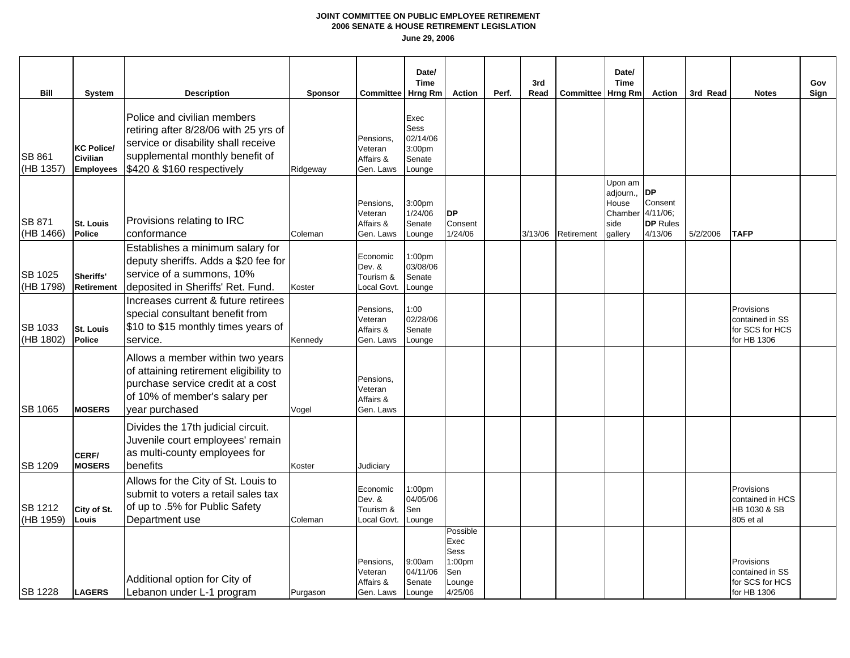| Bill                        | <b>System</b>                                     | <b>Description</b>                                                                                                                                                           | <b>Sponsor</b> | <b>Committee</b>                               | Date/<br><b>Time</b><br>Hrng Rm                        | <b>Action</b>                                                  | Perf. | 3rd<br>Read | <b>Committee Hrng Rm</b> | Date/<br><b>Time</b>                                        | <b>Action</b>                                                  | 3rd Read | <b>Notes</b>                                                    | Gov<br>Sign |
|-----------------------------|---------------------------------------------------|------------------------------------------------------------------------------------------------------------------------------------------------------------------------------|----------------|------------------------------------------------|--------------------------------------------------------|----------------------------------------------------------------|-------|-------------|--------------------------|-------------------------------------------------------------|----------------------------------------------------------------|----------|-----------------------------------------------------------------|-------------|
| <b>SB 861</b><br>(HB 1357)  | <b>KC Police/</b><br>Civilian<br><b>Employees</b> | Police and civilian members<br>retiring after 8/28/06 with 25 yrs of<br>service or disability shall receive<br>supplemental monthly benefit of<br>\$420 & \$160 respectively | Ridgeway       | Pensions,<br>Veteran<br>Affairs &<br>Gen. Laws | Exec<br>Sess<br>02/14/06<br>3:00pm<br>Senate<br>Lounge |                                                                |       |             |                          |                                                             |                                                                |          |                                                                 |             |
| <b>SB 871</b><br>(HB 1466)  | <b>St. Louis</b><br>Police                        | Provisions relating to IRC<br>conformance                                                                                                                                    | Coleman        | Pensions.<br>Veteran<br>Affairs &<br>Gen. Laws | 3:00pm<br>1/24/06<br>Senate<br>Lounge                  | <b>DP</b><br>Consent<br>1/24/06                                |       | 3/13/06     | Retirement               | Upon am<br>adjourn.,<br>House<br>Chamber<br>side<br>qallery | <b>DP</b><br>Consent<br>4/11/06;<br><b>DP</b> Rules<br>4/13/06 | 5/2/2006 | <b>TAFP</b>                                                     |             |
| <b>SB 1025</b><br>(HB 1798) | Sheriffs'<br><b>Retirement</b>                    | Establishes a minimum salary for<br>deputy sheriffs. Adds a \$20 fee for<br>service of a summons, 10%<br>deposited in Sheriffs' Ret. Fund.                                   | Koster         | Economic<br>Dev. &<br>Tourism &<br>Local Govt. | 1:00pm<br>03/08/06<br>Senate<br>Lounge                 |                                                                |       |             |                          |                                                             |                                                                |          |                                                                 |             |
| SB 1033<br>(HB 1802)        | <b>St. Louis</b><br>Police                        | Increases current & future retirees<br>special consultant benefit from<br>\$10 to \$15 monthly times years of<br>service.                                                    | Kennedy        | Pensions,<br>Veteran<br>Affairs &<br>Gen. Laws | 1:00<br>02/28/06<br>Senate<br>Lounge                   |                                                                |       |             |                          |                                                             |                                                                |          | Provisions<br>contained in SS<br>for SCS for HCS<br>for HB 1306 |             |
| <b>SB 1065</b>              | <b>MOSERS</b>                                     | Allows a member within two years<br>of attaining retirement eligibility to<br>purchase service credit at a cost<br>of 10% of member's salary per<br>year purchased           | Vogel          | Pensions,<br>Veteran<br>Affairs &<br>Gen. Laws |                                                        |                                                                |       |             |                          |                                                             |                                                                |          |                                                                 |             |
| <b>SB 1209</b>              | CERF/<br><b>MOSERS</b>                            | Divides the 17th judicial circuit.<br>Juvenile court employees' remain<br>as multi-county employees for<br>benefits                                                          | Koster         | Judiciary                                      |                                                        |                                                                |       |             |                          |                                                             |                                                                |          |                                                                 |             |
| <b>SB 1212</b><br>(HB 1959) | City of St.<br>Louis                              | Allows for the City of St. Louis to<br>submit to voters a retail sales tax<br>of up to .5% for Public Safety<br>Department use                                               | Coleman        | Economic<br>Dev. &<br>Tourism &<br>Local Govt. | 1:00 <sub>pm</sub><br>04/05/06<br>Sen<br>Lounge        |                                                                |       |             |                          |                                                             |                                                                |          | Provisions<br>contained in HCS<br>HB 1030 & SB<br>805 et al     |             |
| <b>SB 1228</b>              | <b>LAGERS</b>                                     | Additional option for City of<br>Lebanon under L-1 program                                                                                                                   | Purgason       | Pensions,<br>Veteran<br>Affairs &<br>Gen. Laws | 9:00am<br>04/11/06<br>Senate<br>Lounge                 | Possible<br>Exec<br>Sess<br>1:00pm<br>Sen<br>Lounge<br>4/25/06 |       |             |                          |                                                             |                                                                |          | Provisions<br>contained in SS<br>for SCS for HCS<br>for HB 1306 |             |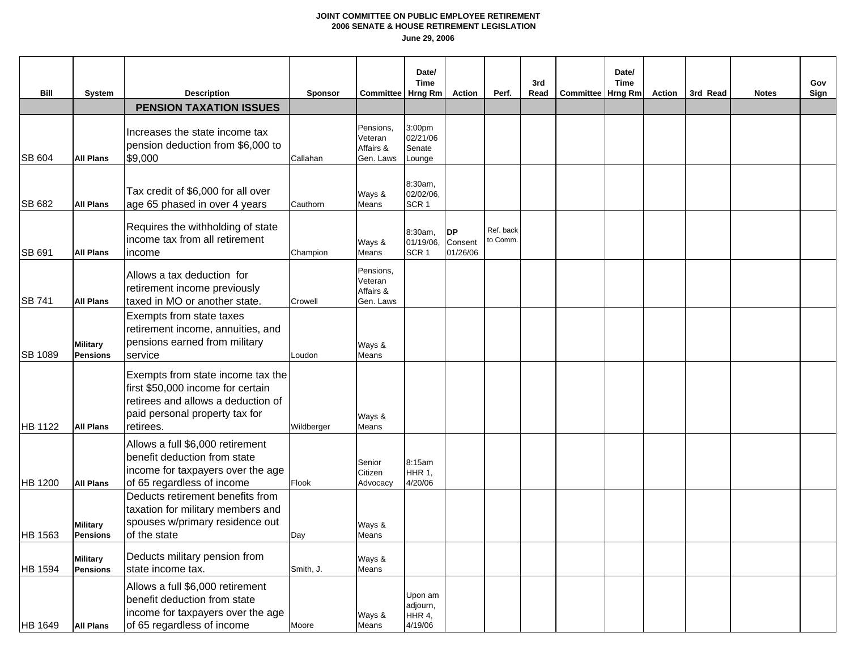| Bill           | <b>System</b>                      | <b>Description</b>                                                                                                                                          | <b>Sponsor</b> | Committee   Hrng Rm                            | Date/<br><b>Time</b>                     | <b>Action</b>                    | Perf.                 | 3rd<br>Read | Committee   Hrng Rm | Date/<br><b>Time</b> | Action | 3rd Read | <b>Notes</b> | Gov<br>Sign |
|----------------|------------------------------------|-------------------------------------------------------------------------------------------------------------------------------------------------------------|----------------|------------------------------------------------|------------------------------------------|----------------------------------|-----------------------|-------------|---------------------|----------------------|--------|----------|--------------|-------------|
|                |                                    | <b>PENSION TAXATION ISSUES</b>                                                                                                                              |                |                                                |                                          |                                  |                       |             |                     |                      |        |          |              |             |
| SB 604         | <b>All Plans</b>                   | Increases the state income tax<br>pension deduction from \$6,000 to<br>\$9,000                                                                              | Callahan       | Pensions,<br>Veteran<br>Affairs &<br>Gen. Laws | 3:00pm<br>02/21/06<br>Senate<br>Lounge   |                                  |                       |             |                     |                      |        |          |              |             |
| SB 682         | <b>All Plans</b>                   | Tax credit of \$6,000 for all over<br>age 65 phased in over 4 years                                                                                         | Cauthorn       | Ways &<br>Means                                | 8:30am,<br>02/02/06,<br>SCR <sub>1</sub> |                                  |                       |             |                     |                      |        |          |              |             |
| <b>SB 691</b>  | <b>All Plans</b>                   | Requires the withholding of state<br>income tax from all retirement<br>income                                                                               | Champion       | Ways &<br>Means                                | 8:30am,<br>01/19/06,<br>SCR <sub>1</sub> | <b>DP</b><br>Consent<br>01/26/06 | Ref. back<br>to Comm. |             |                     |                      |        |          |              |             |
| <b>SB 741</b>  | <b>All Plans</b>                   | Allows a tax deduction for<br>retirement income previously<br>taxed in MO or another state.                                                                 | Crowell        | Pensions,<br>Veteran<br>Affairs &<br>Gen. Laws |                                          |                                  |                       |             |                     |                      |        |          |              |             |
| <b>SB 1089</b> | <b>Military</b><br><b>Pensions</b> | Exempts from state taxes<br>retirement income, annuities, and<br>pensions earned from military<br>service                                                   | Loudon         | Ways &<br>Means                                |                                          |                                  |                       |             |                     |                      |        |          |              |             |
| <b>HB</b> 1122 | <b>All Plans</b>                   | Exempts from state income tax the<br>first \$50,000 income for certain<br>retirees and allows a deduction of<br>paid personal property tax for<br>retirees. | Wildberger     | Ways &<br>Means                                |                                          |                                  |                       |             |                     |                      |        |          |              |             |
| HB 1200        | <b>All Plans</b>                   | Allows a full \$6,000 retirement<br>benefit deduction from state<br>income for taxpayers over the age<br>of 65 regardless of income                         | Flook          | Senior<br>Citizen<br>Advocacy                  | 8:15am<br>HHR 1,<br>4/20/06              |                                  |                       |             |                     |                      |        |          |              |             |
| <b>HB 1563</b> | <b>Military</b><br><b>Pensions</b> | Deducts retirement benefits from<br>taxation for military members and<br>spouses w/primary residence out<br>of the state                                    | Day            | Ways &<br>Means                                |                                          |                                  |                       |             |                     |                      |        |          |              |             |
| <b>HB 1594</b> | <b>Military</b><br><b>Pensions</b> | Deducts military pension from<br>state income tax.                                                                                                          | Smith, J.      | Ways &<br>Means                                |                                          |                                  |                       |             |                     |                      |        |          |              |             |
| <b>HB</b> 1649 | <b>All Plans</b>                   | Allows a full \$6,000 retirement<br>benefit deduction from state<br>income for taxpayers over the age<br>of 65 regardless of income                         | Moore          | Ways &<br>Means                                | Jpon am<br>adjourn,<br>HHR 4,<br>4/19/06 |                                  |                       |             |                     |                      |        |          |              |             |